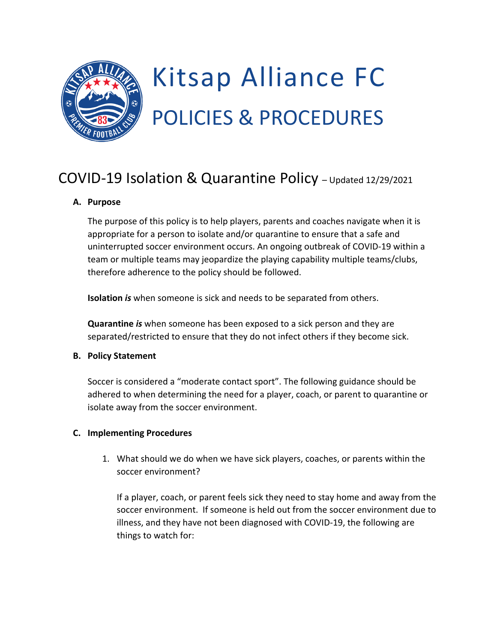

# Kitsap Alliance FC POLICIES & PROCEDURES

## COVID-19 Isolation & Quarantine Policy – Updated 12/29/2021

#### **A. Purpose**

The purpose of this policy is to help players, parents and coaches navigate when it is appropriate for a person to isolate and/or quarantine to ensure that a safe and uninterrupted soccer environment occurs. An ongoing outbreak of COVID-19 within a team or multiple teams may jeopardize the playing capability multiple teams/clubs, therefore adherence to the policy should be followed.

**Isolation** *is* when someone is sick and needs to be separated from others.

**Quarantine** *is* when someone has been exposed to a sick person and they are separated/restricted to ensure that they do not infect others if they become sick.

#### **B. Policy Statement**

Soccer is considered a "moderate contact sport". The following guidance should be adhered to when determining the need for a player, coach, or parent to quarantine or isolate away from the soccer environment.

### **C. Implementing Procedures**

1. What should we do when we have sick players, coaches, or parents within the soccer environment?

If a player, coach, or parent feels sick they need to stay home and away from the soccer environment. If someone is held out from the soccer environment due to illness, and they have not been diagnosed with COVID-19, the following are things to watch for: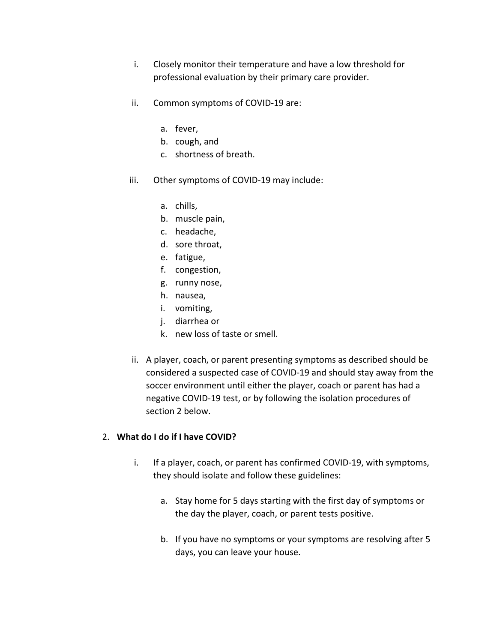- i. Closely monitor their temperature and have a low threshold for professional evaluation by their primary care provider.
- ii. Common symptoms of COVID-19 are:
	- a. fever,
	- b. cough, and
	- c. shortness of breath.
- iii. Other symptoms of COVID-19 may include:
	- a. chills,
	- b. muscle pain,
	- c. headache,
	- d. sore throat,
	- e. fatigue,
	- f. congestion,
	- g. runny nose,
	- h. nausea,
	- i. vomiting,
	- j. diarrhea or
	- k. new loss of taste or smell.
- ii. A player, coach, or parent presenting symptoms as described should be considered a suspected case of COVID-19 and should stay away from the soccer environment until either the player, coach or parent has had a negative COVID-19 test, or by following the isolation procedures of section 2 below.

#### 2. **What do I do if I have COVID?**

- i. If a player, coach, or parent has confirmed COVID-19, with symptoms, they should isolate and follow these guidelines:
	- a. Stay home for 5 days starting with the first day of symptoms or the day the player, coach, or parent tests positive.
	- b. If you have no symptoms or your symptoms are resolving after 5 days, you can leave your house.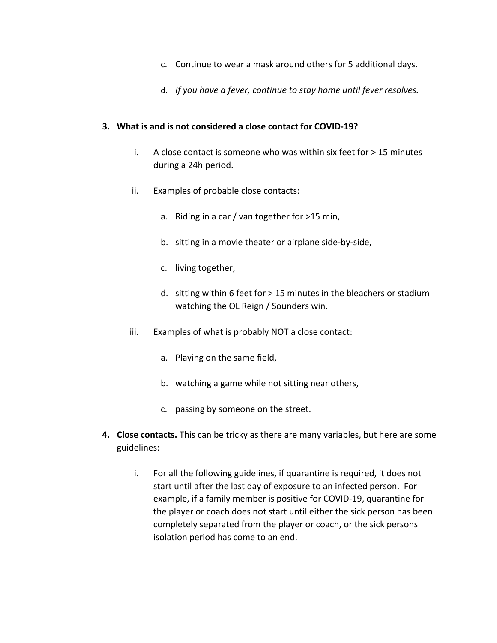- c. Continue to wear a mask around others for 5 additional days.
- d. *If you have a fever, continue to stay home until fever resolves.*

#### **3. What is and is not considered a close contact for COVID-19?**

- i. A close contact is someone who was within six feet for  $> 15$  minutes during a 24h period.
- ii. Examples of probable close contacts:
	- a. Riding in a car / van together for >15 min,
	- b. sitting in a movie theater or airplane side-by-side,
	- c. living together,
	- d. sitting within 6 feet for > 15 minutes in the bleachers or stadium watching the OL Reign / Sounders win.
- iii. Examples of what is probably NOT a close contact:
	- a. Playing on the same field,
	- b. watching a game while not sitting near others,
	- c. passing by someone on the street.
- **4. Close contacts.** This can be tricky as there are many variables, but here are some guidelines:
	- i. For all the following guidelines, if quarantine is required, it does not start until after the last day of exposure to an infected person. For example, if a family member is positive for COVID-19, quarantine for the player or coach does not start until either the sick person has been completely separated from the player or coach, or the sick persons isolation period has come to an end.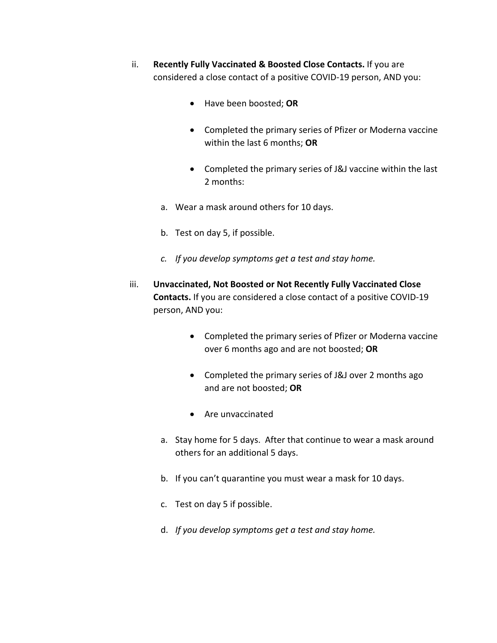- ii. **Recently Fully Vaccinated & Boosted Close Contacts.** If you are considered a close contact of a positive COVID-19 person, AND you:
	- Have been boosted; **OR**
	- Completed the primary series of Pfizer or Moderna vaccine within the last 6 months; **OR**
	- Completed the primary series of J&J vaccine within the last 2 months:
	- a. Wear a mask around others for 10 days.
	- b. Test on day 5, if possible.
	- *c. If you develop symptoms get a test and stay home.*
- iii. **Unvaccinated, Not Boosted or Not Recently Fully Vaccinated Close Contacts.** If you are considered a close contact of a positive COVID-19 person, AND you:
	- Completed the primary series of Pfizer or Moderna vaccine over 6 months ago and are not boosted; **OR**
	- Completed the primary series of J&J over 2 months ago and are not boosted; **OR**
	- Are unvaccinated
	- a. Stay home for 5 days. After that continue to wear a mask around others for an additional 5 days.
	- b. If you can't quarantine you must wear a mask for 10 days.
	- c. Test on day 5 if possible.
	- d. *If you develop symptoms get a test and stay home.*